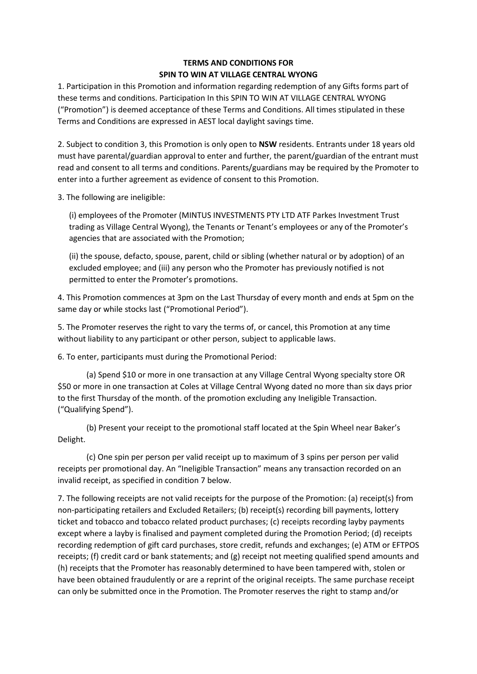## **TERMS AND CONDITIONS FOR SPIN TO WIN AT VILLAGE CENTRAL WYONG**

1. Participation in this Promotion and information regarding redemption of any Gifts forms part of these terms and conditions. Participation In this SPIN TO WIN AT VILLAGE CENTRAL WYONG ("Promotion") is deemed acceptance of these Terms and Conditions. All times stipulated in these Terms and Conditions are expressed in AEST local daylight savings time.

2. Subject to condition 3, this Promotion is only open to **NSW** residents. Entrants under 18 years old must have parental/guardian approval to enter and further, the parent/guardian of the entrant must read and consent to all terms and conditions. Parents/guardians may be required by the Promoter to enter into a further agreement as evidence of consent to this Promotion.

3. The following are ineligible:

(i) employees of the Promoter (MINTUS INVESTMENTS PTY LTD ATF Parkes Investment Trust trading as Village Central Wyong), the Tenants or Tenant's employees or any of the Promoter's agencies that are associated with the Promotion;

(ii) the spouse, defacto, spouse, parent, child or sibling (whether natural or by adoption) of an excluded employee; and (iii) any person who the Promoter has previously notified is not permitted to enter the Promoter's promotions.

4. This Promotion commences at 3pm on the Last Thursday of every month and ends at 5pm on the same day or while stocks last ("Promotional Period").

5. The Promoter reserves the right to vary the terms of, or cancel, this Promotion at any time without liability to any participant or other person, subject to applicable laws.

6. To enter, participants must during the Promotional Period:

(a) Spend \$10 or more in one transaction at any Village Central Wyong specialty store OR \$50 or more in one transaction at Coles at Village Central Wyong dated no more than six days prior to the first Thursday of the month. of the promotion excluding any Ineligible Transaction. ("Qualifying Spend").

(b) Present your receipt to the promotional staff located at the Spin Wheel near Baker's Delight.

(c) One spin per person per valid receipt up to maximum of 3 spins per person per valid receipts per promotional day. An "Ineligible Transaction" means any transaction recorded on an invalid receipt, as specified in condition 7 below.

7. The following receipts are not valid receipts for the purpose of the Promotion: (a) receipt(s) from non-participating retailers and Excluded Retailers; (b) receipt(s) recording bill payments, lottery ticket and tobacco and tobacco related product purchases; (c) receipts recording layby payments except where a layby is finalised and payment completed during the Promotion Period; (d) receipts recording redemption of gift card purchases, store credit, refunds and exchanges; (e) ATM or EFTPOS receipts; (f) credit card or bank statements; and (g) receipt not meeting qualified spend amounts and (h) receipts that the Promoter has reasonably determined to have been tampered with, stolen or have been obtained fraudulently or are a reprint of the original receipts. The same purchase receipt can only be submitted once in the Promotion. The Promoter reserves the right to stamp and/or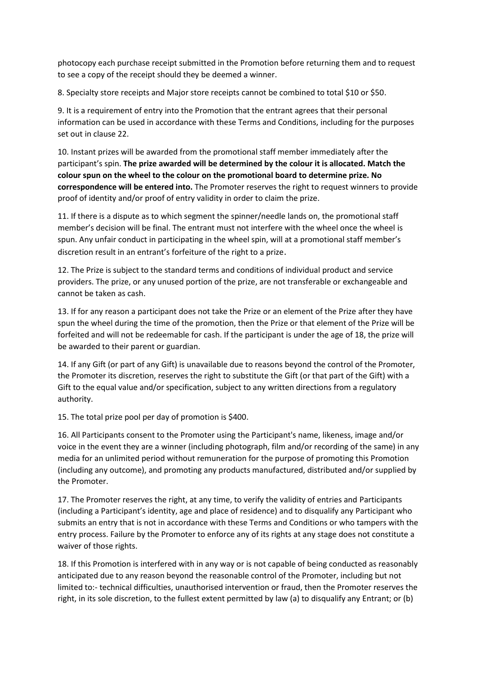photocopy each purchase receipt submitted in the Promotion before returning them and to request to see a copy of the receipt should they be deemed a winner.

8. Specialty store receipts and Major store receipts cannot be combined to total \$10 or \$50.

9. It is a requirement of entry into the Promotion that the entrant agrees that their personal information can be used in accordance with these Terms and Conditions, including for the purposes set out in clause 22.

10. Instant prizes will be awarded from the promotional staff member immediately after the participant's spin. **The prize awarded will be determined by the colour it is allocated. Match the colour spun on the wheel to the colour on the promotional board to determine prize. No correspondence will be entered into.** The Promoter reserves the right to request winners to provide proof of identity and/or proof of entry validity in order to claim the prize.

11. If there is a dispute as to which segment the spinner/needle lands on, the promotional staff member's decision will be final. The entrant must not interfere with the wheel once the wheel is spun. Any unfair conduct in participating in the wheel spin, will at a promotional staff member's discretion result in an entrant's forfeiture of the right to a prize.

12. The Prize is subject to the standard terms and conditions of individual product and service providers. The prize, or any unused portion of the prize, are not transferable or exchangeable and cannot be taken as cash.

13. If for any reason a participant does not take the Prize or an element of the Prize after they have spun the wheel during the time of the promotion, then the Prize or that element of the Prize will be forfeited and will not be redeemable for cash. If the participant is under the age of 18, the prize will be awarded to their parent or guardian.

14. If any Gift (or part of any Gift) is unavailable due to reasons beyond the control of the Promoter, the Promoter its discretion, reserves the right to substitute the Gift (or that part of the Gift) with a Gift to the equal value and/or specification, subject to any written directions from a regulatory authority.

15. The total prize pool per day of promotion is \$400.

16. All Participants consent to the Promoter using the Participant's name, likeness, image and/or voice in the event they are a winner (including photograph, film and/or recording of the same) in any media for an unlimited period without remuneration for the purpose of promoting this Promotion (including any outcome), and promoting any products manufactured, distributed and/or supplied by the Promoter.

17. The Promoter reserves the right, at any time, to verify the validity of entries and Participants (including a Participant's identity, age and place of residence) and to disqualify any Participant who submits an entry that is not in accordance with these Terms and Conditions or who tampers with the entry process. Failure by the Promoter to enforce any of its rights at any stage does not constitute a waiver of those rights.

18. If this Promotion is interfered with in any way or is not capable of being conducted as reasonably anticipated due to any reason beyond the reasonable control of the Promoter, including but not limited to:- technical difficulties, unauthorised intervention or fraud, then the Promoter reserves the right, in its sole discretion, to the fullest extent permitted by law (a) to disqualify any Entrant; or (b)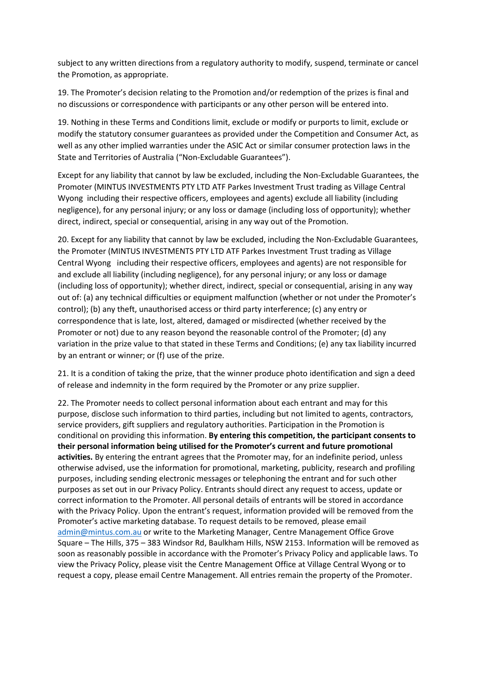subject to any written directions from a regulatory authority to modify, suspend, terminate or cancel the Promotion, as appropriate.

19. The Promoter's decision relating to the Promotion and/or redemption of the prizes is final and no discussions or correspondence with participants or any other person will be entered into.

19. Nothing in these Terms and Conditions limit, exclude or modify or purports to limit, exclude or modify the statutory consumer guarantees as provided under the Competition and Consumer Act, as well as any other implied warranties under the ASIC Act or similar consumer protection laws in the State and Territories of Australia ("Non-Excludable Guarantees").

Except for any liability that cannot by law be excluded, including the Non-Excludable Guarantees, the Promoter (MINTUS INVESTMENTS PTY LTD ATF Parkes Investment Trust trading as Village Central Wyong including their respective officers, employees and agents) exclude all liability (including negligence), for any personal injury; or any loss or damage (including loss of opportunity); whether direct, indirect, special or consequential, arising in any way out of the Promotion.

20. Except for any liability that cannot by law be excluded, including the Non-Excludable Guarantees, the Promoter (MINTUS INVESTMENTS PTY LTD ATF Parkes Investment Trust trading as Village Central Wyong including their respective officers, employees and agents) are not responsible for and exclude all liability (including negligence), for any personal injury; or any loss or damage (including loss of opportunity); whether direct, indirect, special or consequential, arising in any way out of: (a) any technical difficulties or equipment malfunction (whether or not under the Promoter's control); (b) any theft, unauthorised access or third party interference; (c) any entry or correspondence that is late, lost, altered, damaged or misdirected (whether received by the Promoter or not) due to any reason beyond the reasonable control of the Promoter; (d) any variation in the prize value to that stated in these Terms and Conditions; (e) any tax liability incurred by an entrant or winner; or (f) use of the prize.

21. It is a condition of taking the prize, that the winner produce photo identification and sign a deed of release and indemnity in the form required by the Promoter or any prize supplier.

22. The Promoter needs to collect personal information about each entrant and may for this purpose, disclose such information to third parties, including but not limited to agents, contractors, service providers, gift suppliers and regulatory authorities. Participation in the Promotion is conditional on providing this information. **By entering this competition, the participant consents to their personal information being utilised for the Promoter's current and future promotional activities.** By entering the entrant agrees that the Promoter may, for an indefinite period, unless otherwise advised, use the information for promotional, marketing, publicity, research and profiling purposes, including sending electronic messages or telephoning the entrant and for such other purposes as set out in our Privacy Policy. Entrants should direct any request to access, update or correct information to the Promoter. All personal details of entrants will be stored in accordance with the Privacy Policy. Upon the entrant's request, information provided will be removed from the Promoter's active marketing database. To request details to be removed, please email [admin@mintus.com.au](mailto:admin@mintus.com.au) or write to the Marketing Manager, Centre Management Office Grove Square – The Hills, 375 – 383 Windsor Rd, Baulkham Hills, NSW 2153. Information will be removed as soon as reasonably possible in accordance with the Promoter's Privacy Policy and applicable laws. To view the Privacy Policy, please visit the Centre Management Office at Village Central Wyong or to request a copy, please email Centre Management. All entries remain the property of the Promoter.